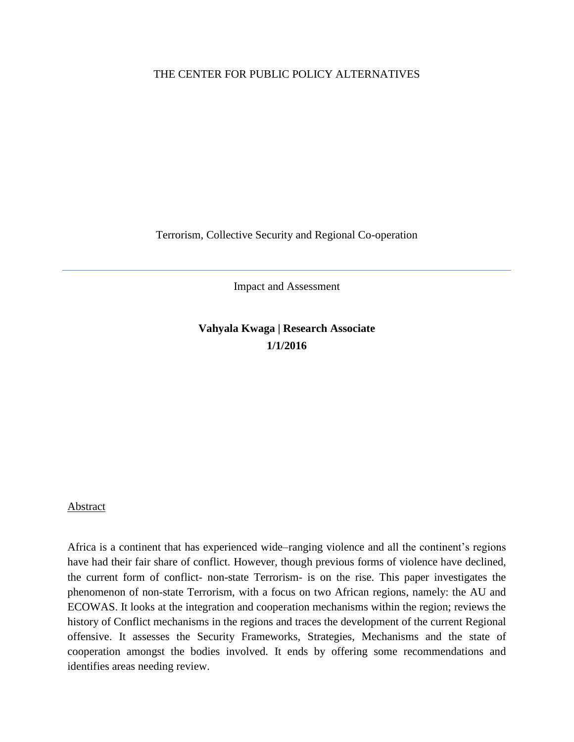## THE CENTER FOR PUBLIC POLICY ALTERNATIVES

Terrorism, Collective Security and Regional Co-operation

Impact and Assessment

**Vahyala Kwaga | Research Associate 1/1/2016**

#### Abstract

Africa is a continent that has experienced wide–ranging violence and all the continent's regions have had their fair share of conflict. However, though previous forms of violence have declined, the current form of conflict- non-state Terrorism- is on the rise. This paper investigates the phenomenon of non-state Terrorism, with a focus on two African regions, namely: the AU and ECOWAS. It looks at the integration and cooperation mechanisms within the region; reviews the history of Conflict mechanisms in the regions and traces the development of the current Regional offensive. It assesses the Security Frameworks, Strategies, Mechanisms and the state of cooperation amongst the bodies involved. It ends by offering some recommendations and identifies areas needing review.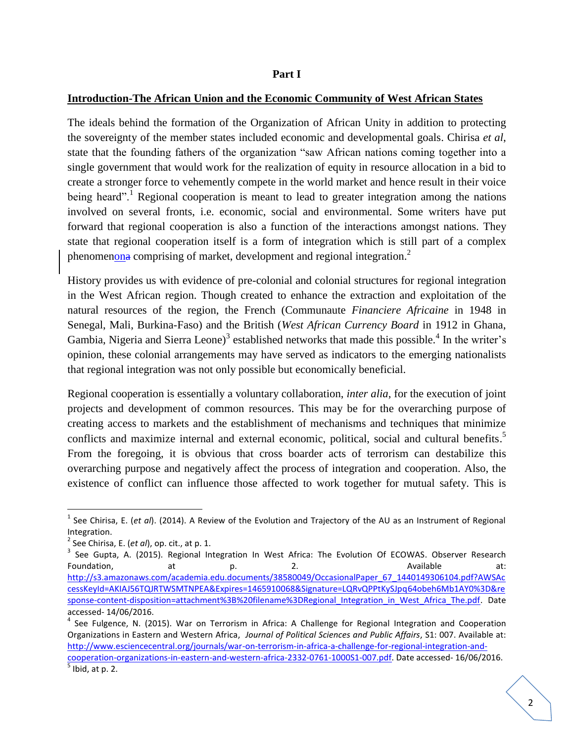#### **Part I**

## **Introduction-The African Union and the Economic Community of West African States**

The ideals behind the formation of the Organization of African Unity in addition to protecting the sovereignty of the member states included economic and developmental goals. Chirisa *et al*, state that the founding fathers of the organization "saw African nations coming together into a single government that would work for the realization of equity in resource allocation in a bid to create a stronger force to vehemently compete in the world market and hence result in their voice being heard".<sup>1</sup> Regional cooperation is meant to lead to greater integration among the nations involved on several fronts, i.e. economic, social and environmental. Some writers have put forward that regional cooperation is also a function of the interactions amongst nations. They state that regional cooperation itself is a form of integration which is still part of a complex phenomenona comprising of market, development and regional integration.<sup>2</sup>

History provides us with evidence of pre-colonial and colonial structures for regional integration in the West African region. Though created to enhance the extraction and exploitation of the natural resources of the region, the French (Communaute *Financiere Africaine* in 1948 in Senegal, Mali, Burkina-Faso) and the British (*West African Currency Board* in 1912 in Ghana, Gambia, Nigeria and Sierra Leone)<sup>3</sup> established networks that made this possible.<sup>4</sup> In the writer's opinion, these colonial arrangements may have served as indicators to the emerging nationalists that regional integration was not only possible but economically beneficial.

Regional cooperation is essentially a voluntary collaboration, *inter alia*, for the execution of joint projects and development of common resources. This may be for the overarching purpose of creating access to markets and the establishment of mechanisms and techniques that minimize conflicts and maximize internal and external economic, political, social and cultural benefits. 5 From the foregoing, it is obvious that cross boarder acts of terrorism can destabilize this overarching purpose and negatively affect the process of integration and cooperation. Also, the existence of conflict can influence those affected to work together for mutual safety. This is

<sup>&</sup>lt;sup>1</sup> See Chirisa, E. (*et al*). (2014). A Review of the Evolution and Trajectory of the AU as an Instrument of Regional Integration.

<sup>2</sup> See Chirisa, E. (*et al*), op. cit., at p. 1.

<sup>&</sup>lt;sup>3</sup> See Gupta, A. (2015). Regional Integration In West Africa: The Evolution Of ECOWAS. Observer Research Foundation, at at p. 2. Available at: [http://s3.amazonaws.com/academia.edu.documents/38580049/OccasionalPaper\\_67\\_1440149306104.pdf?AWSAc](http://s3.amazonaws.com/academia.edu.documents/38580049/OccasionalPaper_67_1440149306104.pdf?AWSAccessKeyId=AKIAJ56TQJRTWSMTNPEA&Expires=1465910068&Signature=LQRvQPPtKySJpq64obeh6Mb1AY0%3D&response-content-disposition=attachment%3B%20filename%3DRegional_Integration_in_West_Africa_The.pdf) [cessKeyId=AKIAJ56TQJRTWSMTNPEA&Expires=1465910068&Signature=LQRvQPPtKySJpq64obeh6Mb1AY0%3D&re](http://s3.amazonaws.com/academia.edu.documents/38580049/OccasionalPaper_67_1440149306104.pdf?AWSAccessKeyId=AKIAJ56TQJRTWSMTNPEA&Expires=1465910068&Signature=LQRvQPPtKySJpq64obeh6Mb1AY0%3D&response-content-disposition=attachment%3B%20filename%3DRegional_Integration_in_West_Africa_The.pdf) [sponse-content-disposition=attachment%3B%20filename%3DRegional\\_Integration\\_in\\_West\\_Africa\\_The.pdf.](http://s3.amazonaws.com/academia.edu.documents/38580049/OccasionalPaper_67_1440149306104.pdf?AWSAccessKeyId=AKIAJ56TQJRTWSMTNPEA&Expires=1465910068&Signature=LQRvQPPtKySJpq64obeh6Mb1AY0%3D&response-content-disposition=attachment%3B%20filename%3DRegional_Integration_in_West_Africa_The.pdf) Date accessed- 14/06/2016.

<sup>&</sup>lt;sup>4</sup> See Fulgence, N. (2015). War on Terrorism in Africa: A Challenge for Regional Integration and Cooperation Organizations in Eastern and Western Africa, *Journal of Political Sciences and Public Affairs*, S1: 007. Available at: [http://www.esciencecentral.org/journals/war-on-terrorism-in-africa-a-challenge-for-regional-integration-and](http://www.esciencecentral.org/journals/war-on-terrorism-in-africa-a-challenge-for-regional-integration-and-cooperation-organizations-in-eastern-and-western-africa-2332-0761-1000S1-007.pdf)[cooperation-organizations-in-eastern-and-western-africa-2332-0761-1000S1-007.pdf.](http://www.esciencecentral.org/journals/war-on-terrorism-in-africa-a-challenge-for-regional-integration-and-cooperation-organizations-in-eastern-and-western-africa-2332-0761-1000S1-007.pdf) Date accessed- 16/06/2016.  $<sup>5</sup>$  Ibid, at p. 2.</sup>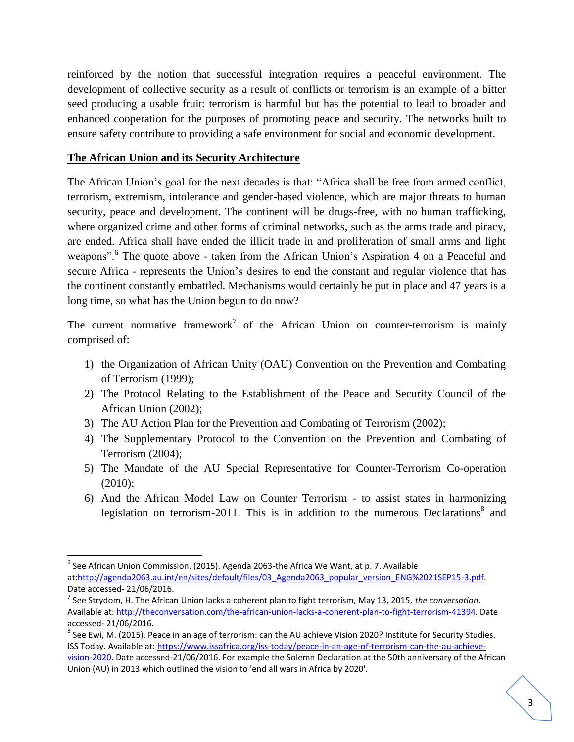reinforced by the notion that successful integration requires a peaceful environment. The development of collective security as a result of conflicts or terrorism is an example of a bitter seed producing a usable fruit: terrorism is harmful but has the potential to lead to broader and enhanced cooperation for the purposes of promoting peace and security. The networks built to ensure safety contribute to providing a safe environment for social and economic development.

# **The African Union and its Security Architecture**

 $\overline{\phantom{a}}$ 

The African Union"s goal for the next decades is that: "Africa shall be free from armed conflict, terrorism, extremism, intolerance and gender-based violence, which are major threats to human security, peace and development. The continent will be drugs-free, with no human trafficking, where organized crime and other forms of criminal networks, such as the arms trade and piracy, are ended. Africa shall have ended the illicit trade in and proliferation of small arms and light weapons".<sup>6</sup> The quote above - taken from the African Union's Aspiration 4 on a Peaceful and secure Africa - represents the Union's desires to end the constant and regular violence that has the continent constantly embattled. Mechanisms would certainly be put in place and 47 years is a long time, so what has the Union begun to do now?

The current normative framework<sup>7</sup> of the African Union on counter-terrorism is mainly comprised of:

- 1) the Organization of African Unity (OAU) Convention on the Prevention and Combating of Terrorism (1999);
- 2) The Protocol Relating to the Establishment of the Peace and Security Council of the African Union (2002);
- 3) The AU Action Plan for the Prevention and Combating of Terrorism (2002);
- 4) The Supplementary Protocol to the Convention on the Prevention and Combating of Terrorism (2004);
- 5) The Mandate of the AU Special Representative for Counter-Terrorism Co-operation (2010);
- 6) And the African Model Law on Counter Terrorism to assist states in harmonizing legislation on terrorism-2011. This is in addition to the numerous Declarations<sup>8</sup> and

 $^6$  See African Union Commission. (2015). Agenda 2063-the Africa We Want, at p. 7. Available at:http://agenda2063.au.int/en/sites/default/files/03 Agenda2063 popular version ENG%2021SEP15-3.pdf. Date accessed- 21/06/2016.

<sup>7</sup> See Strydom, H. The African Union lacks a coherent plan to fight terrorism, May 13, 2015, *the conversation*. Available at: [http://theconversation.com/the-african-union-lacks-a-coherent-plan-to-fight-terrorism-41394.](http://theconversation.com/the-african-union-lacks-a-coherent-plan-to-fight-terrorism-41394) Date accessed- 21/06/2016.

 $^8$  See Ewi, M. (2015). Peace in an age of terrorism: can the AU achieve Vision 2020? Institute for Security Studies. ISS Today. Available at: [https://www.issafrica.org/iss-today/peace-in-an-age-of-terrorism-can-the-au-achieve](https://www.issafrica.org/iss-today/peace-in-an-age-of-terrorism-can-the-au-achieve-vision-2020)[vision-2020.](https://www.issafrica.org/iss-today/peace-in-an-age-of-terrorism-can-the-au-achieve-vision-2020) Date accessed-21/06/2016. For example the Solemn Declaration at the 50th anniversary of the African Union (AU) in 2013 which outlined the vision to 'end all wars in Africa by 2020'.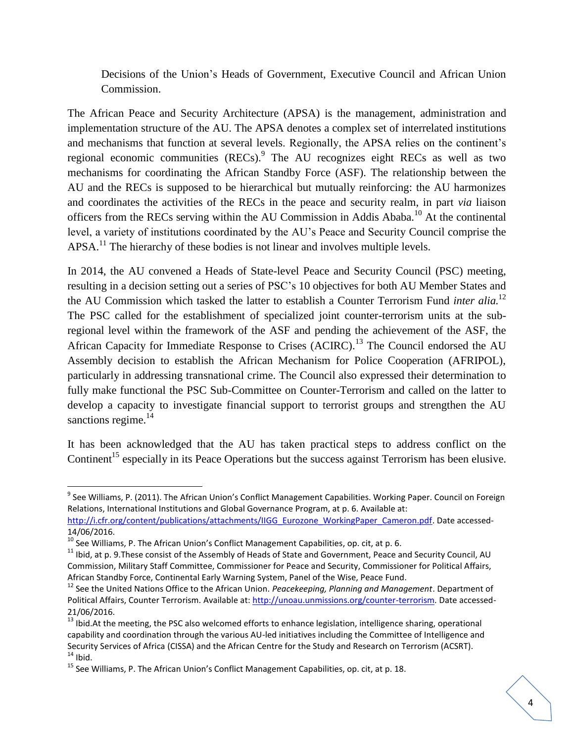Decisions of the Union"s Heads of Government, Executive Council and African Union Commission.

The African Peace and Security Architecture (APSA) is the management, administration and implementation structure of the AU. The APSA denotes a complex set of interrelated institutions and mechanisms that function at several levels. Regionally, the APSA relies on the continent's regional economic communities  $(RECs)$ . The AU recognizes eight RECs as well as two mechanisms for coordinating the African Standby Force (ASF). The relationship between the AU and the RECs is supposed to be hierarchical but mutually reinforcing: the AU harmonizes and coordinates the activities of the RECs in the peace and security realm, in part *via* liaison officers from the RECs serving within the AU Commission in Addis Ababa.<sup>10</sup> At the continental level, a variety of institutions coordinated by the AU"s Peace and Security Council comprise the  $APSA<sup>11</sup>$  The hierarchy of these bodies is not linear and involves multiple levels.

In 2014, the AU convened a Heads of State-level Peace and Security Council (PSC) meeting, resulting in a decision setting out a series of PSC"s 10 objectives for both AU Member States and the AU Commission which tasked the latter to establish a Counter Terrorism Fund *inter alia.* 12 The PSC called for the establishment of specialized joint counter-terrorism units at the subregional level within the framework of the ASF and pending the achievement of the ASF, the African Capacity for Immediate Response to Crises (ACIRC).<sup>13</sup> The Council endorsed the AU Assembly decision to establish the African Mechanism for Police Cooperation (AFRIPOL), particularly in addressing transnational crime. The Council also expressed their determination to fully make functional the PSC Sub-Committee on Counter-Terrorism and called on the latter to develop a capacity to investigate financial support to terrorist groups and strengthen the AU sanctions regime.<sup>14</sup>

It has been acknowledged that the AU has taken practical steps to address conflict on the Continent<sup>15</sup> especially in its Peace Operations but the success against Terrorism has been elusive.

l

<sup>&</sup>lt;sup>9</sup> See Williams, P. (2011). The African Union's Conflict Management Capabilities. Working Paper. Council on Foreign Relations, International Institutions and Global Governance Program, at p. 6. Available at: [http://i.cfr.org/content/publications/attachments/IIGG\\_Eurozone\\_WorkingPaper\\_Cameron.pdf.](http://i.cfr.org/content/publications/attachments/IIGG_Eurozone_WorkingPaper_Cameron.pdf) Date accessed-

<sup>14/06/2016.</sup> 

 $10^{10}$  See Williams, P. The African Union's Conflict Management Capabilities, op. cit, at p. 6.

 $11$  Ibid, at p. 9. These consist of the Assembly of Heads of State and Government, Peace and Security Council, AU Commission, Military Staff Committee, Commissioner for Peace and Security, Commissioner for Political Affairs, African Standby Force, Continental Early Warning System, Panel of the Wise, Peace Fund.

<sup>12</sup> See the United Nations Office to the African Union. *Peacekeeping, Planning and Management*. Department of Political Affairs, Counter Terrorism. Available at[: http://unoau.unmissions.org/counter-terrorism.](http://unoau.unmissions.org/counter-terrorism) Date accessed-21/06/2016.

<sup>&</sup>lt;sup>13</sup> Ibid.At the meeting, the PSC also welcomed efforts to enhance legislation, intelligence sharing, operational capability and coordination through the various AU-led initiatives including the Committee of Intelligence and Security Services of Africa (CISSA) and the African Centre for the Study and Research on Terrorism (ACSRT).  $14$  Ibid.

 $15$  See Williams, P. The African Union's Conflict Management Capabilities, op. cit, at p. 18.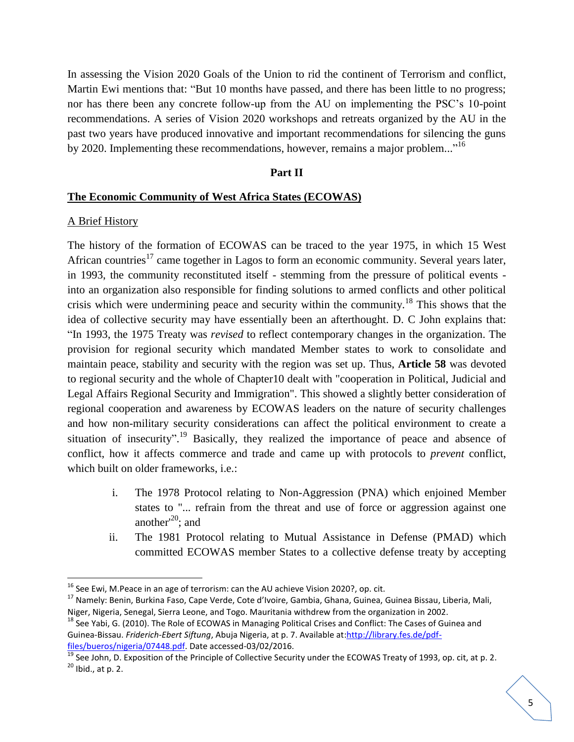In assessing the Vision 2020 Goals of the Union to rid the continent of Terrorism and conflict, Martin Ewi mentions that: "But 10 months have passed, and there has been little to no progress; nor has there been any concrete follow-up from the AU on implementing the PSC"s 10-point recommendations. A series of Vision 2020 workshops and retreats organized by the AU in the past two years have produced innovative and important recommendations for silencing the guns by 2020. Implementing these recommendations, however, remains a major problem..."<sup>16</sup>

## **Part II**

#### **The Economic Community of West Africa States (ECOWAS)**

## A Brief History

 $\overline{\phantom{a}}$ 

The history of the formation of ECOWAS can be traced to the year 1975, in which 15 West African countries<sup>17</sup> came together in Lagos to form an economic community. Several years later, in 1993, the community reconstituted itself - stemming from the pressure of political events into an organization also responsible for finding solutions to armed conflicts and other political crisis which were undermining peace and security within the community.<sup>18</sup> This shows that the idea of collective security may have essentially been an afterthought. D. C John explains that: "In 1993, the 1975 Treaty was *revised* to reflect contemporary changes in the organization. The provision for regional security which mandated Member states to work to consolidate and maintain peace, stability and security with the region was set up. Thus, **Article 58** was devoted to regional security and the whole of Chapter10 dealt with "cooperation in Political, Judicial and Legal Affairs Regional Security and Immigration". This showed a slightly better consideration of regional cooperation and awareness by ECOWAS leaders on the nature of security challenges and how non-military security considerations can affect the political environment to create a situation of insecurity".<sup>19</sup> Basically, they realized the importance of peace and absence of conflict, how it affects commerce and trade and came up with protocols to *prevent* conflict, which built on older frameworks, i.e.:

- i. The 1978 Protocol relating to Non-Aggression (PNA) which enjoined Member states to "... refrain from the threat and use of force or aggression against one another<sup>'20</sup>; and
- ii. The 1981 Protocol relating to Mutual Assistance in Defense (PMAD) which committed ECOWAS member States to a collective defense treaty by accepting

 $16$  See Ewi, M. Peace in an age of terrorism: can the AU achieve Vision 2020?, op. cit.

<sup>&</sup>lt;sup>17</sup> Namely: Benin, Burkina Faso, Cape Verde, Cote d'Ivoire, Gambia, Ghana, Guinea, Guinea Bissau, Liberia, Mali, Niger, Nigeria, Senegal, Sierra Leone, and Togo. Mauritania withdrew from the organization in 2002.

<sup>&</sup>lt;sup>18</sup> See Yabi, G. (2010). The Role of ECOWAS in Managing Political Crises and Conflict: The Cases of Guinea and Guinea-Bissau. *Friderich-Ebert Siftung*, Abuja Nigeria, at p. 7. Available at[:http://library.fes.de/pdf](http://library.fes.de/pdf-files/bueros/nigeria/07448.pdf)[files/bueros/nigeria/07448.pdf.](http://library.fes.de/pdf-files/bueros/nigeria/07448.pdf) Date accessed-03/02/2016.

 $\frac{19}{19}$  See John, D. Exposition of the Principle of Collective Security under the ECOWAS Treaty of 1993, op. cit, at p. 2.  $20$  Ibid., at p. 2.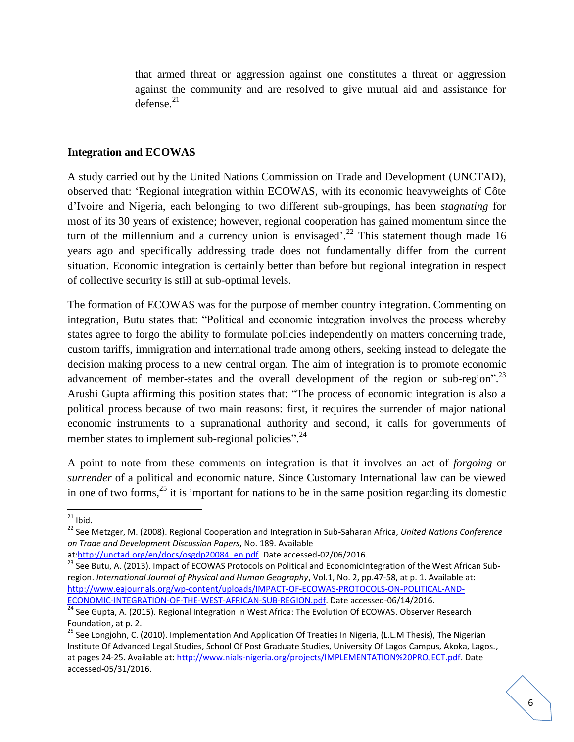that armed threat or aggression against one constitutes a threat or aggression against the community and are resolved to give mutual aid and assistance for defense. 21

## **Integration and ECOWAS**

A study carried out by the United Nations Commission on Trade and Development (UNCTAD), observed that: "Regional integration within ECOWAS, with its economic heavyweights of Côte d"Ivoire and Nigeria, each belonging to two different sub-groupings, has been *stagnating* for most of its 30 years of existence; however, regional cooperation has gained momentum since the turn of the millennium and a currency union is envisaged'.<sup>22</sup> This statement though made 16 years ago and specifically addressing trade does not fundamentally differ from the current situation. Economic integration is certainly better than before but regional integration in respect of collective security is still at sub-optimal levels.

The formation of ECOWAS was for the purpose of member country integration. Commenting on integration, Butu states that: "Political and economic integration involves the process whereby states agree to forgo the ability to formulate policies independently on matters concerning trade, custom tariffs, immigration and international trade among others, seeking instead to delegate the decision making process to a new central organ. The aim of integration is to promote economic advancement of member-states and the overall development of the region or sub-region".<sup>23</sup> Arushi Gupta affirming this position states that: "The process of economic integration is also a political process because of two main reasons: first, it requires the surrender of major national economic instruments to a supranational authority and second, it calls for governments of member states to implement sub-regional policies".<sup>24</sup>

A point to note from these comments on integration is that it involves an act of *forgoing* or *surrender* of a political and economic nature. Since Customary International law can be viewed in one of two forms,  $^{25}$  it is important for nations to be in the same position regarding its domestic

 $^{21}$  Ibid.

<sup>22</sup> See Metzger, M. (2008). Regional Cooperation and Integration in Sub-Saharan Africa, *United Nations Conference on Trade and Development Discussion Papers*, No. 189. Available

at[:http://unctad.org/en/docs/osgdp20084\\_en.pdf.](http://unctad.org/en/docs/osgdp20084_en.pdf) Date accessed-02/06/2016.

<sup>&</sup>lt;sup>23</sup> See Butu, A. (2013). Impact of ECOWAS Protocols on Political and EconomicIntegration of the West African Subregion. *International Journal of Physical and Human Geography*, Vol.1, No. 2, pp.47-58, at p. 1. Available at: [http://www.eajournals.org/wp-content/uploads/IMPACT-OF-ECOWAS-PROTOCOLS-ON-POLITICAL-AND-](http://www.eajournals.org/wp-content/uploads/IMPACT-OF-ECOWAS-PROTOCOLS-ON-POLITICAL-AND-ECONOMIC-INTEGRATION-OF-THE-WEST-AFRICAN-SUB-REGION.pdf)[ECONOMIC-INTEGRATION-OF-THE-WEST-AFRICAN-SUB-REGION.pdf.](http://www.eajournals.org/wp-content/uploads/IMPACT-OF-ECOWAS-PROTOCOLS-ON-POLITICAL-AND-ECONOMIC-INTEGRATION-OF-THE-WEST-AFRICAN-SUB-REGION.pdf) Date accessed-06/14/2016.

**Example 24** See Gupta, A. (2015). Regional Integration In West Africa: The Evolution Of ECOWAS. Observer Research Foundation, at p. 2.

<sup>&</sup>lt;sup>25</sup> See Longjohn, C. (2010). Implementation And Application Of Treaties In Nigeria, (L.L.M Thesis), The Nigerian Institute Of Advanced Legal Studies, School Of Post Graduate Studies, University Of Lagos Campus, Akoka, Lagos., at pages 24-25. Available at[: http://www.nials-nigeria.org/projects/IMPLEMENTATION%20PROJECT.pdf.](http://www.nials-nigeria.org/projects/IMPLEMENTATION%20PROJECT.pdf) Date accessed-05/31/2016.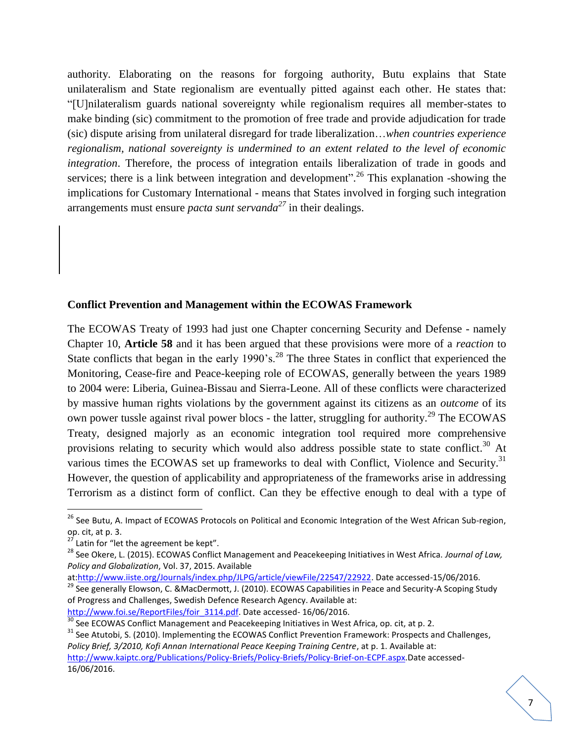authority. Elaborating on the reasons for forgoing authority, Butu explains that State unilateralism and State regionalism are eventually pitted against each other. He states that: "[U]nilateralism guards national sovereignty while regionalism requires all member-states to make binding (sic) commitment to the promotion of free trade and provide adjudication for trade (sic) dispute arising from unilateral disregard for trade liberalization…*when countries experience regionalism, national sovereignty is undermined to an extent related to the level of economic integration*. Therefore, the process of integration entails liberalization of trade in goods and services; there is a link between integration and development".<sup>26</sup> This explanation -showing the implications for Customary International - means that States involved in forging such integration arrangements must ensure *pacta sunt servanda<sup>27</sup>* in their dealings.

# **Conflict Prevention and Management within the ECOWAS Framework**

The ECOWAS Treaty of 1993 had just one Chapter concerning Security and Defense - namely Chapter 10, **Article 58** and it has been argued that these provisions were more of a *reaction* to State conflicts that began in the early 1990's.<sup>28</sup> The three States in conflict that experienced the Monitoring, Cease-fire and Peace-keeping role of ECOWAS, generally between the years 1989 to 2004 were: Liberia, Guinea-Bissau and Sierra-Leone. All of these conflicts were characterized by massive human rights violations by the government against its citizens as an *outcome* of its own power tussle against rival power blocs - the latter, struggling for authority.<sup>29</sup> The ECOWAS Treaty, designed majorly as an economic integration tool required more comprehensive provisions relating to security which would also address possible state to state conflict.<sup>30</sup> At various times the ECOWAS set up frameworks to deal with Conflict, Violence and Security.<sup>31</sup> However, the question of applicability and appropriateness of the frameworks arise in addressing Terrorism as a distinct form of conflict. Can they be effective enough to deal with a type of

<sup>&</sup>lt;sup>26</sup> See Butu, A. Impact of ECOWAS Protocols on Political and Economic Integration of the West African Sub-region, op. cit, at p. 3.

 $27$  Latin for "let the agreement be kept".

<sup>28</sup> See Okere, L. (2015). ECOWAS Conflict Management and Peacekeeping Initiatives in West Africa. *Journal of Law, Policy and Globalization*, Vol. 37, 2015. Available

at[:http://www.iiste.org/Journals/index.php/JLPG/article/viewFile/22547/22922.](http://www.iiste.org/Journals/index.php/JLPG/article/viewFile/22547/22922) Date accessed-15/06/2016.

<sup>&</sup>lt;sup>29</sup> See generally Elowson, C. &MacDermott, J. (2010). ECOWAS Capabilities in Peace and Security-A Scoping Study of Progress and Challenges, Swedish Defence Research Agency. Available at: [http://www.foi.se/ReportFiles/foir\\_3114.pdf.](http://www.foi.se/ReportFiles/foir_3114.pdf) Date accessed- 16/06/2016.

 $30$  See ECOWAS Conflict Management and Peacekeeping Initiatives in West Africa, op. cit, at p. 2.

<sup>&</sup>lt;sup>31</sup> See Atutobi, S. (2010). Implementing the ECOWAS Conflict Prevention Framework: Prospects and Challenges, *Policy Brief, 3/2010, Kofi Annan International Peace Keeping Training Centre*, at p. 1. Available at:

[http://www.kaiptc.org/Publications/Policy-Briefs/Policy-Briefs/Policy-Brief-on-ECPF.aspx.](http://www.kaiptc.org/Publications/Policy-Briefs/Policy-Briefs/Policy-Brief-on-ECPF.aspx)Date accessed-16/06/2016.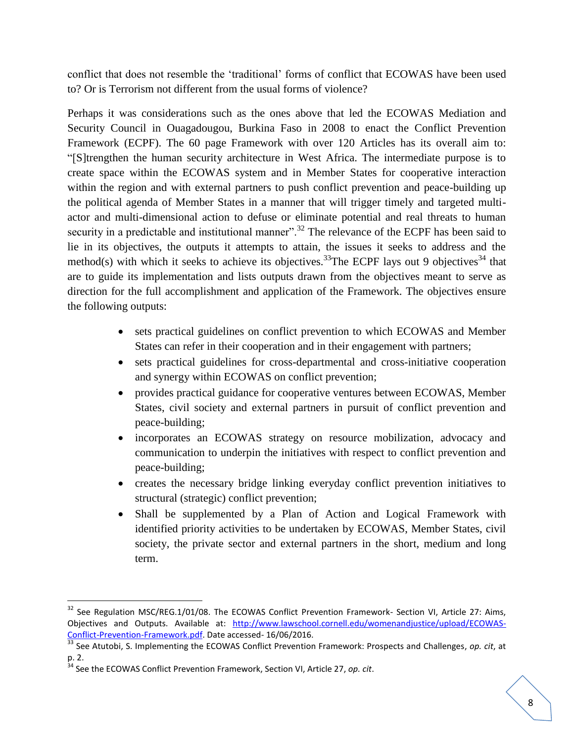conflict that does not resemble the "traditional" forms of conflict that ECOWAS have been used to? Or is Terrorism not different from the usual forms of violence?

Perhaps it was considerations such as the ones above that led the ECOWAS Mediation and Security Council in Ouagadougou, Burkina Faso in 2008 to enact the Conflict Prevention Framework (ECPF). The 60 page Framework with over 120 Articles has its overall aim to: "[S]trengthen the human security architecture in West Africa. The intermediate purpose is to create space within the ECOWAS system and in Member States for cooperative interaction within the region and with external partners to push conflict prevention and peace-building up the political agenda of Member States in a manner that will trigger timely and targeted multiactor and multi-dimensional action to defuse or eliminate potential and real threats to human security in a predictable and institutional manner".<sup>32</sup> The relevance of the ECPF has been said to lie in its objectives, the outputs it attempts to attain, the issues it seeks to address and the method(s) with which it seeks to achieve its objectives.<sup>33</sup>The ECPF lays out 9 objectives<sup>34</sup> that are to guide its implementation and lists outputs drawn from the objectives meant to serve as direction for the full accomplishment and application of the Framework. The objectives ensure the following outputs:

- sets practical guidelines on conflict prevention to which ECOWAS and Member States can refer in their cooperation and in their engagement with partners;
- sets practical guidelines for cross-departmental and cross-initiative cooperation and synergy within ECOWAS on conflict prevention;
- provides practical guidance for cooperative ventures between ECOWAS, Member States, civil society and external partners in pursuit of conflict prevention and peace-building;
- incorporates an ECOWAS strategy on resource mobilization, advocacy and communication to underpin the initiatives with respect to conflict prevention and peace-building;
- creates the necessary bridge linking everyday conflict prevention initiatives to structural (strategic) conflict prevention;
- Shall be supplemented by a Plan of Action and Logical Framework with identified priority activities to be undertaken by ECOWAS, Member States, civil society, the private sector and external partners in the short, medium and long term.

 $\overline{a}$ 

<sup>&</sup>lt;sup>32</sup> See Regulation MSC/REG.1/01/08. The ECOWAS Conflict Prevention Framework- Section VI, Article 27: Aims, Objectives and Outputs. Available at: [http://www.lawschool.cornell.edu/womenandjustice/upload/ECOWAS-](http://www.lawschool.cornell.edu/womenandjustice/upload/ECOWAS-Conflict-Prevention-Framework.pdf)[Conflict-Prevention-Framework.pdf.](http://www.lawschool.cornell.edu/womenandjustice/upload/ECOWAS-Conflict-Prevention-Framework.pdf) Date accessed- 16/06/2016.

<sup>33</sup> See Atutobi, S. Implementing the ECOWAS Conflict Prevention Framework: Prospects and Challenges, *op. cit*, at p. 2.

<sup>34</sup> See the ECOWAS Conflict Prevention Framework, Section VI, Article 27, *op. cit*.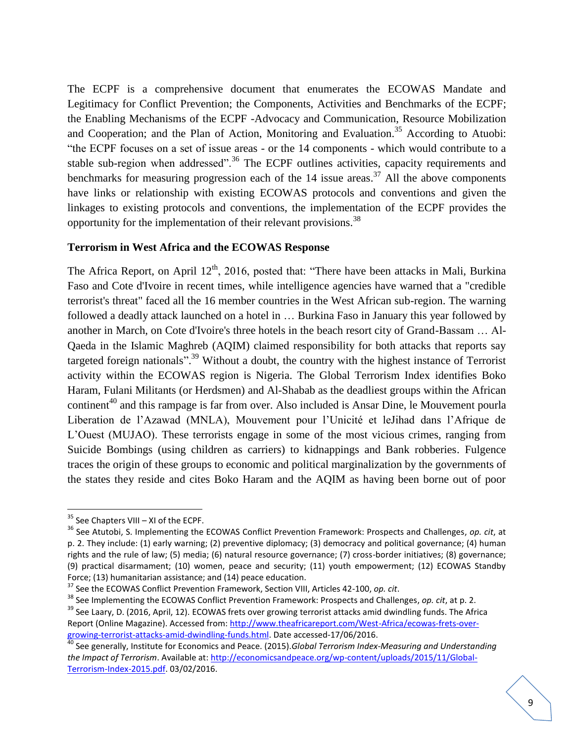The ECPF is a comprehensive document that enumerates the ECOWAS Mandate and Legitimacy for Conflict Prevention; the Components, Activities and Benchmarks of the ECPF; the Enabling Mechanisms of the ECPF -Advocacy and Communication, Resource Mobilization and Cooperation; and the Plan of Action, Monitoring and Evaluation.<sup>35</sup> According to Atuobi: "the ECPF focuses on a set of issue areas - or the 14 components - which would contribute to a stable sub-region when addressed".<sup>36</sup> The ECPF outlines activities, capacity requirements and benchmarks for measuring progression each of the  $14$  issue areas.<sup>37</sup> All the above components have links or relationship with existing ECOWAS protocols and conventions and given the linkages to existing protocols and conventions, the implementation of the ECPF provides the opportunity for the implementation of their relevant provisions.<sup>38</sup>

## **Terrorism in West Africa and the ECOWAS Response**

The Africa Report, on April  $12<sup>th</sup>$ , 2016, posted that: "There have been attacks in Mali, Burkina Faso and Cote d'Ivoire in recent times, while intelligence agencies have warned that a "credible terrorist's threat" faced all the 16 member countries in the West African sub-region. The warning followed a deadly attack launched on a hotel in … Burkina Faso in January this year followed by another in March, on Cote d'Ivoire's three hotels in the beach resort city of Grand-Bassam … Al-Qaeda in the Islamic Maghreb (AQIM) claimed responsibility for both attacks that reports say targeted foreign nationals".<sup>39</sup> Without a doubt, the country with the highest instance of Terrorist activity within the ECOWAS region is Nigeria. The Global Terrorism Index identifies Boko Haram, Fulani Militants (or Herdsmen) and Al-Shabab as the deadliest groups within the African continent<sup>40</sup> and this rampage is far from over. Also included is Ansar Dine, le Mouvement pourla Liberation de l"Azawad (MNLA), Mouvement pour l"Unicité et leJihad dans l"Afrique de L"Ouest (MUJAO). These terrorists engage in some of the most vicious crimes, ranging from Suicide Bombings (using children as carriers) to kidnappings and Bank robberies. Fulgence traces the origin of these groups to economic and political marginalization by the governments of the states they reside and cites Boko Haram and the AQIM as having been borne out of poor

 $35$  See Chapters VIII – XI of the ECPF.

<sup>36</sup> See Atutobi, S. Implementing the ECOWAS Conflict Prevention Framework: Prospects and Challenges, *op. cit*, at p. 2. They include: (1) early warning; (2) preventive diplomacy; (3) democracy and political governance; (4) human rights and the rule of law; (5) media; (6) natural resource governance; (7) cross-border initiatives; (8) governance; (9) practical disarmament; (10) women, peace and security; (11) youth empowerment; (12) ECOWAS Standby Force; (13) humanitarian assistance; and (14) peace education.

<sup>37</sup> See the ECOWAS Conflict Prevention Framework, Section VIII, Articles 42-100, *op. cit*.

<sup>38</sup> See Implementing the ECOWAS Conflict Prevention Framework: Prospects and Challenges, *op. cit*, at p. 2.

<sup>&</sup>lt;sup>39</sup> See Laary, D. (2016, April, 12). ECOWAS frets over growing terrorist attacks amid dwindling funds. The Africa Report (Online Magazine). Accessed from[: http://www.theafricareport.com/West-Africa/ecowas-frets-over](http://www.theafricareport.com/West-Africa/ecowas-frets-over-growing-terrorist-attacks-amid-dwindling-funds.html)[growing-terrorist-attacks-amid-dwindling-funds.html.](http://www.theafricareport.com/West-Africa/ecowas-frets-over-growing-terrorist-attacks-amid-dwindling-funds.html) Date accessed-17/06/2016.

<sup>40</sup> See generally, Institute for Economics and Peace. (2015).*Global Terrorism Index-Measuring and Understanding the Impact of Terrorism*. Available at[: http://economicsandpeace.org/wp-content/uploads/2015/11/Global-](http://economicsandpeace.org/wp-content/uploads/2015/11/Global-Terrorism-Index-2015.pdf)[Terrorism-Index-2015.pdf.](http://economicsandpeace.org/wp-content/uploads/2015/11/Global-Terrorism-Index-2015.pdf) 03/02/2016.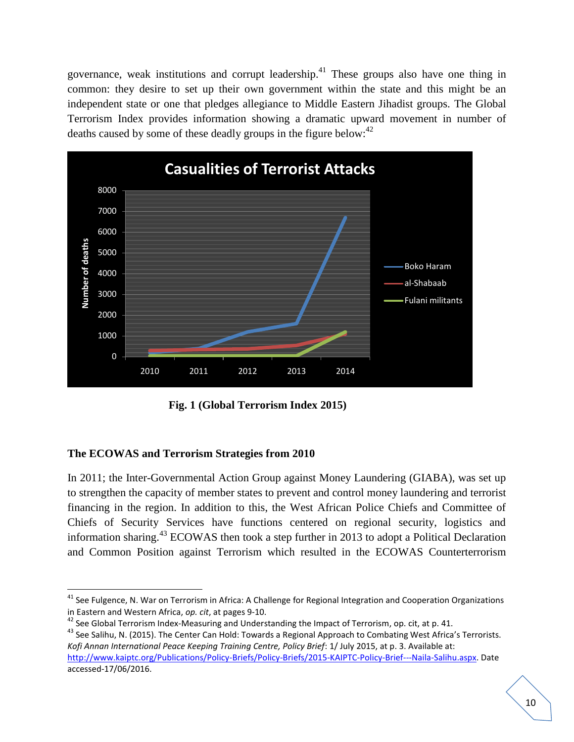governance, weak institutions and corrupt leadership.<sup>41</sup> These groups also have one thing in common: they desire to set up their own government within the state and this might be an independent state or one that pledges allegiance to Middle Eastern Jihadist groups. The Global Terrorism Index provides information showing a dramatic upward movement in number of deaths caused by some of these deadly groups in the figure below:<sup>42</sup>



**Fig. 1 (Global Terrorism Index 2015)**

# **The ECOWAS and Terrorism Strategies from 2010**

In 2011; the Inter-Governmental Action Group against Money Laundering (GIABA), was set up to strengthen the capacity of member states to prevent and control money laundering and terrorist financing in the region. In addition to this, the West African Police Chiefs and Committee of Chiefs of Security Services have functions centered on regional security, logistics and information sharing.<sup>43</sup> ECOWAS then took a step further in 2013 to adopt a Political Declaration and Common Position against Terrorism which resulted in the ECOWAS Counterterrorism

 $\overline{\phantom{a}}$ <sup>41</sup> See Fulgence, N. War on Terrorism in Africa: A Challenge for Regional Integration and Cooperation Organizations in Eastern and Western Africa, *op. cit*, at pages 9-10.

<sup>&</sup>lt;sup>42</sup> See Global Terrorism Index-Measuring and Understanding the Impact of Terrorism, op. cit, at p. 41.

<sup>&</sup>lt;sup>43</sup> See Salihu, N. (2015). The Center Can Hold: Towards a Regional Approach to Combating West Africa's Terrorists. *Kofi Annan International Peace Keeping Training Centre, Policy Brief*: 1/ July 2015, at p. 3. Available at: [http://www.kaiptc.org/Publications/Policy-Briefs/Policy-Briefs/2015-KAIPTC-Policy-Brief---Naila-Salihu.aspx.](http://www.kaiptc.org/Publications/Policy-Briefs/Policy-Briefs/2015-KAIPTC-Policy-Brief---Naila-Salihu.aspx) Date accessed-17/06/2016.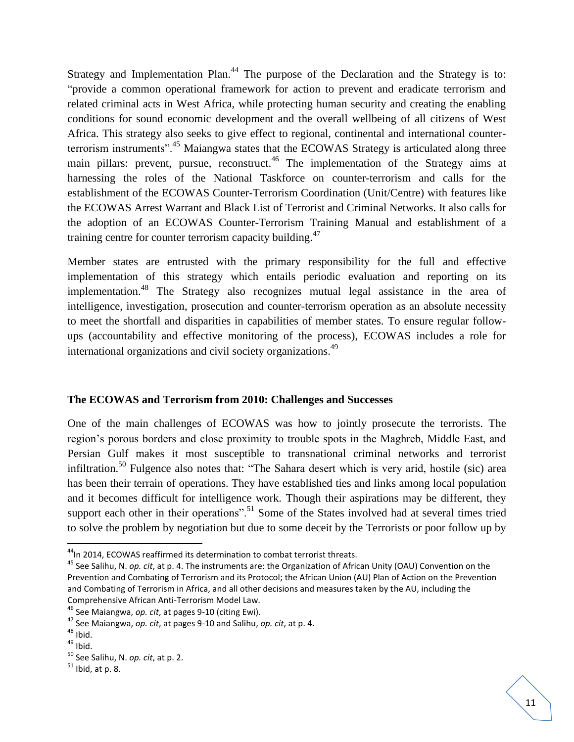Strategy and Implementation Plan.<sup>44</sup> The purpose of the Declaration and the Strategy is to: "provide a common operational framework for action to prevent and eradicate terrorism and related criminal acts in West Africa, while protecting human security and creating the enabling conditions for sound economic development and the overall wellbeing of all citizens of West Africa. This strategy also seeks to give effect to regional, continental and international counterterrorism instruments".<sup>45</sup> Maiangwa states that the ECOWAS Strategy is articulated along three main pillars: prevent, pursue, reconstruct.<sup>46</sup> The implementation of the Strategy aims at harnessing the roles of the National Taskforce on counter-terrorism and calls for the establishment of the ECOWAS Counter-Terrorism Coordination (Unit/Centre) with features like the ECOWAS Arrest Warrant and Black List of Terrorist and Criminal Networks. It also calls for the adoption of an ECOWAS Counter-Terrorism Training Manual and establishment of a training centre for counter terrorism capacity building.<sup>47</sup>

Member states are entrusted with the primary responsibility for the full and effective implementation of this strategy which entails periodic evaluation and reporting on its implementation.<sup>48</sup> The Strategy also recognizes mutual legal assistance in the area of intelligence, investigation, prosecution and counter-terrorism operation as an absolute necessity to meet the shortfall and disparities in capabilities of member states. To ensure regular followups (accountability and effective monitoring of the process), ECOWAS includes a role for international organizations and civil society organizations.<sup>49</sup>

# **The ECOWAS and Terrorism from 2010: Challenges and Successes**

One of the main challenges of ECOWAS was how to jointly prosecute the terrorists. The region"s porous borders and close proximity to trouble spots in the Maghreb, Middle East, and Persian Gulf makes it most susceptible to transnational criminal networks and terrorist infiltration.<sup>50</sup> Fulgence also notes that: "The Sahara desert which is very arid, hostile (sic) area has been their terrain of operations. They have established ties and links among local population and it becomes difficult for intelligence work. Though their aspirations may be different, they support each other in their operations".<sup>51</sup> Some of the States involved had at several times tried to solve the problem by negotiation but due to some deceit by the Terrorists or poor follow up by

 $\overline{a}$ 

 $44$ In 2014, ECOWAS reaffirmed its determination to combat terrorist threats.

<sup>45</sup> See Salihu, N. *op. cit*, at p. 4. The instruments are: the Organization of African Unity (OAU) Convention on the Prevention and Combating of Terrorism and its Protocol; the African Union (AU) Plan of Action on the Prevention and Combating of Terrorism in Africa, and all other decisions and measures taken by the AU, including the Comprehensive African Anti-Terrorism Model Law.

<sup>46</sup> See Maiangwa, *op. cit*, at pages 9-10 (citing Ewi).

<sup>47</sup> See Maiangwa, *op. cit*, at pages 9-10 and Salihu, *op. cit*, at p. 4.

 $48$  Ibid.

 $49$  Ibid.

<sup>50</sup> See Salihu, N. *op. cit*, at p. 2.

 $51$  Ibid, at p. 8.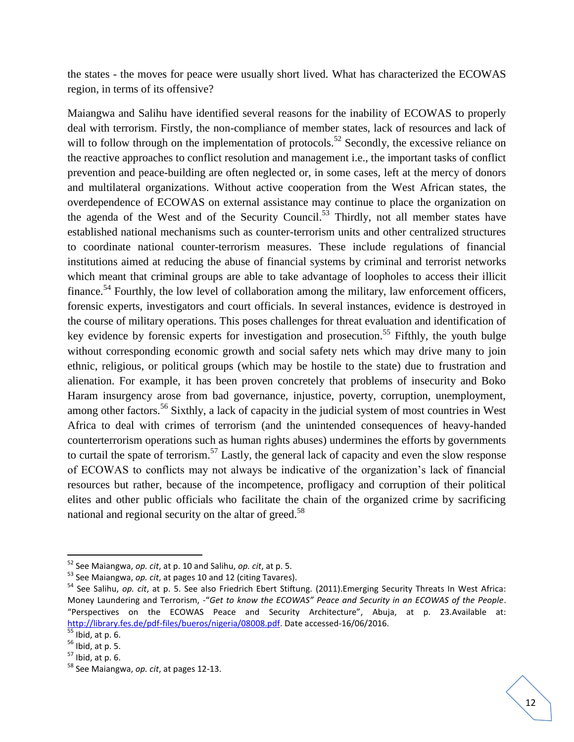the states - the moves for peace were usually short lived. What has characterized the ECOWAS region, in terms of its offensive?

Maiangwa and Salihu have identified several reasons for the inability of ECOWAS to properly deal with terrorism. Firstly, the non-compliance of member states, lack of resources and lack of will to follow through on the implementation of protocols.<sup>52</sup> Secondly, the excessive reliance on the reactive approaches to conflict resolution and management i.e., the important tasks of conflict prevention and peace-building are often neglected or, in some cases, left at the mercy of donors and multilateral organizations. Without active cooperation from the West African states, the overdependence of ECOWAS on external assistance may continue to place the organization on the agenda of the West and of the Security Council.<sup>53</sup> Thirdly, not all member states have established national mechanisms such as counter-terrorism units and other centralized structures to coordinate national counter-terrorism measures. These include regulations of financial institutions aimed at reducing the abuse of financial systems by criminal and terrorist networks which meant that criminal groups are able to take advantage of loopholes to access their illicit finance.<sup>54</sup> Fourthly, the low level of collaboration among the military, law enforcement officers, forensic experts, investigators and court officials. In several instances, evidence is destroyed in the course of military operations. This poses challenges for threat evaluation and identification of key evidence by forensic experts for investigation and prosecution.<sup>55</sup> Fifthly, the youth bulge without corresponding economic growth and social safety nets which may drive many to join ethnic, religious, or political groups (which may be hostile to the state) due to frustration and alienation. For example, it has been proven concretely that problems of insecurity and Boko Haram insurgency arose from bad governance, injustice, poverty, corruption, unemployment, among other factors.<sup>56</sup> Sixthly, a lack of capacity in the judicial system of most countries in West Africa to deal with crimes of terrorism (and the unintended consequences of heavy-handed counterterrorism operations such as human rights abuses) undermines the efforts by governments to curtail the spate of terrorism.<sup>57</sup> Lastly, the general lack of capacity and even the slow response of ECOWAS to conflicts may not always be indicative of the organization"s lack of financial resources but rather, because of the incompetence, profligacy and corruption of their political elites and other public officials who facilitate the chain of the organized crime by sacrificing national and regional security on the altar of greed.<sup>58</sup>

<sup>52</sup> See Maiangwa, *op. cit*, at p. 10 and Salihu, *op. cit*, at p. 5.

<sup>53</sup> See Maiangwa, *op. cit*, at pages 10 and 12 (citing Tavares).

<sup>54</sup> See Salihu, *op. cit*, at p. 5. See also Friedrich Ebert Stiftung. (2011).Emerging Security Threats In West Africa: Money Laundering and Terrorism, -"*Get to know the ECOWAS" Peace and Security in an ECOWAS of the People*. "Perspectives on the ECOWAS Peace and Security Architecture", Abuja, at p. 23.Available at: [http://library.fes.de/pdf-files/bueros/nigeria/08008.pdf.](http://library.fes.de/pdf-files/bueros/nigeria/08008.pdf) Date accessed-16/06/2016.

 $rac{1}{55}$  Ibid, at p. 6.

 $56$  Ibid, at p. 5.

 $57$  Ibid, at p. 6.

<sup>58</sup> See Maiangwa, *op. cit*, at pages 12-13.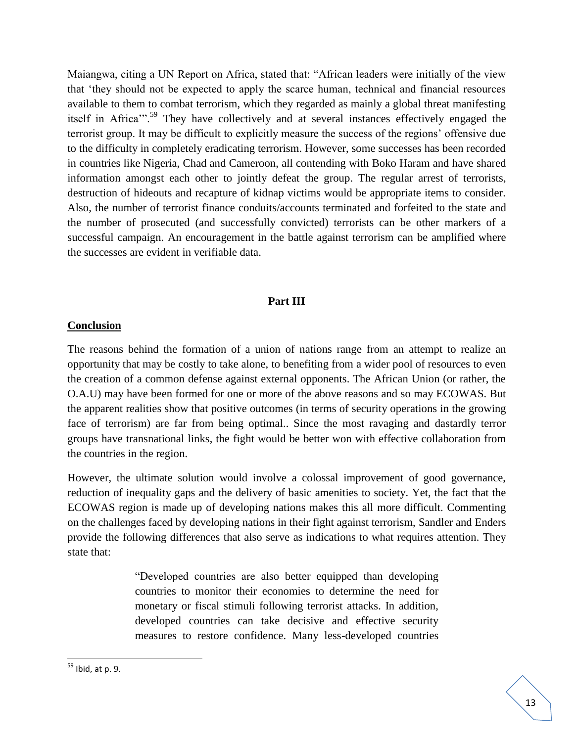Maiangwa, citing a UN Report on Africa, stated that: "African leaders were initially of the view that "they should not be expected to apply the scarce human, technical and financial resources available to them to combat terrorism, which they regarded as mainly a global threat manifesting itself in Africa"<sup>59</sup> They have collectively and at several instances effectively engaged the terrorist group. It may be difficult to explicitly measure the success of the regions" offensive due to the difficulty in completely eradicating terrorism. However, some successes has been recorded in countries like Nigeria, Chad and Cameroon, all contending with Boko Haram and have shared information amongst each other to jointly defeat the group. The regular arrest of terrorists, destruction of hideouts and recapture of kidnap victims would be appropriate items to consider. Also, the number of terrorist finance conduits/accounts terminated and forfeited to the state and the number of prosecuted (and successfully convicted) terrorists can be other markers of a successful campaign. An encouragement in the battle against terrorism can be amplified where the successes are evident in verifiable data.

## **Part III**

#### **Conclusion**

The reasons behind the formation of a union of nations range from an attempt to realize an opportunity that may be costly to take alone, to benefiting from a wider pool of resources to even the creation of a common defense against external opponents. The African Union (or rather, the O.A.U) may have been formed for one or more of the above reasons and so may ECOWAS. But the apparent realities show that positive outcomes (in terms of security operations in the growing face of terrorism) are far from being optimal.. Since the most ravaging and dastardly terror groups have transnational links, the fight would be better won with effective collaboration from the countries in the region.

However, the ultimate solution would involve a colossal improvement of good governance, reduction of inequality gaps and the delivery of basic amenities to society. Yet, the fact that the ECOWAS region is made up of developing nations makes this all more difficult. Commenting on the challenges faced by developing nations in their fight against terrorism, Sandler and Enders provide the following differences that also serve as indications to what requires attention. They state that:

> "Developed countries are also better equipped than developing countries to monitor their economies to determine the need for monetary or fiscal stimuli following terrorist attacks. In addition, developed countries can take decisive and effective security measures to restore confidence. Many less-developed countries

<sup>&</sup>lt;sup>59</sup> Ibid, at p. 9.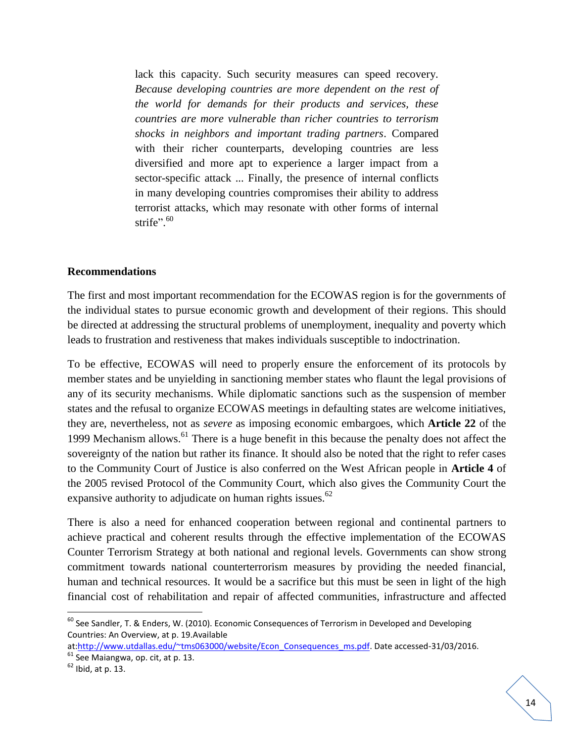lack this capacity. Such security measures can speed recovery. *Because developing countries are more dependent on the rest of the world for demands for their products and services, these countries are more vulnerable than richer countries to terrorism shocks in neighbors and important trading partners*. Compared with their richer counterparts, developing countries are less diversified and more apt to experience a larger impact from a sector-specific attack ... Finally, the presence of internal conflicts in many developing countries compromises their ability to address terrorist attacks, which may resonate with other forms of internal strife".<sup>60</sup>

#### **Recommendations**

The first and most important recommendation for the ECOWAS region is for the governments of the individual states to pursue economic growth and development of their regions. This should be directed at addressing the structural problems of unemployment, inequality and poverty which leads to frustration and restiveness that makes individuals susceptible to indoctrination.

To be effective, ECOWAS will need to properly ensure the enforcement of its protocols by member states and be unyielding in sanctioning member states who flaunt the legal provisions of any of its security mechanisms. While diplomatic sanctions such as the suspension of member states and the refusal to organize ECOWAS meetings in defaulting states are welcome initiatives, they are, nevertheless, not as *severe* as imposing economic embargoes, which **Article 22** of the 1999 Mechanism allows.<sup>61</sup> There is a huge benefit in this because the penalty does not affect the sovereignty of the nation but rather its finance. It should also be noted that the right to refer cases to the Community Court of Justice is also conferred on the West African people in **Article 4** of the 2005 revised Protocol of the Community Court, which also gives the Community Court the expansive authority to adjudicate on human rights issues.<sup>62</sup>

There is also a need for enhanced cooperation between regional and continental partners to achieve practical and coherent results through the effective implementation of the ECOWAS Counter Terrorism Strategy at both national and regional levels. Governments can show strong commitment towards national counterterrorism measures by providing the needed financial, human and technical resources. It would be a sacrifice but this must be seen in light of the high financial cost of rehabilitation and repair of affected communities, infrastructure and affected

l

 $60$  See Sandler, T. & Enders, W. (2010). Economic Consequences of Terrorism in Developed and Developing Countries: An Overview, at p. 19.Available

at[:http://www.utdallas.edu/~tms063000/website/Econ\\_Consequences\\_ms.pdf.](http://www.utdallas.edu/~tms063000/website/Econ_Consequences_ms.pdf) Date accessed-31/03/2016.  $61$  See Maiangwa, op. cit, at p. 13.

 $62$  Ibid, at p. 13.